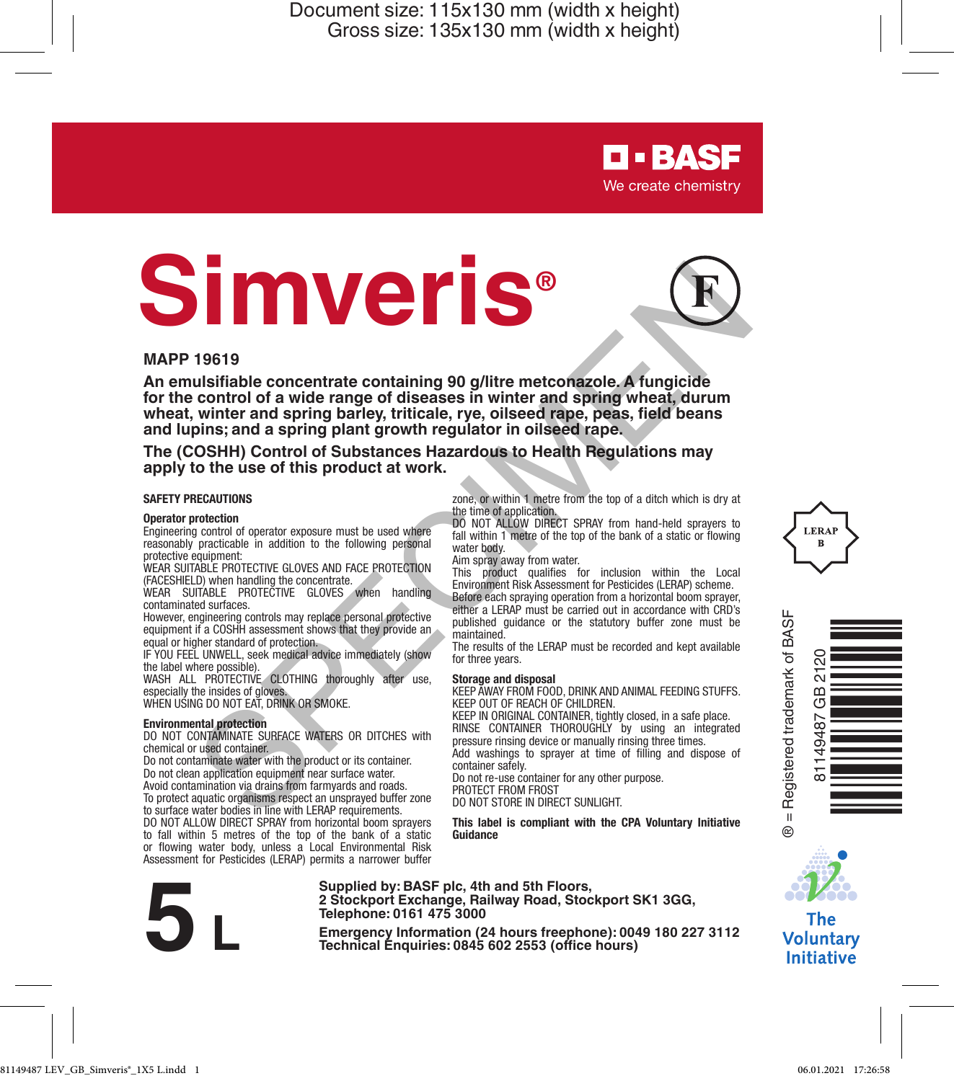# **Simveris®**



**D-BASF** We create chemistry

zone, or within 1 metre from the top of a ditch which is dry at

DO NOT ALLOW DIRECT SPRAY from hand-held sprayers to fall within 1 metre of the top of the bank of a static or flowing

This product qualifies for inclusion within the Local Environment Risk Assessment for Pesticides (LERAP) scheme. Before each spraying operation from a horizontal boom sprayer, either a LERAP must be carried out in accordance with CRD's published guidance or the statutory buffer zone must be

The results of the LERAP must be recorded and kept available

**Storage and disposal** KEEP AWAY FROM FOOD, DRINK AND ANIMAL FEEDING STUFFS.

KEEP IN ORIGINAL CONTAINER, tightly closed, in a safe place. RINSE CONTAINER THOROUGHLY by using an integrated pressure rinsing device or manually rinsing three times. Add washings to sprayer at time of filling and dispose of

**This label is compliant with the CPA Voluntary Initiative Guidance**

### **MAPP 19619**

**An emulsifiable concentrate containing 90 g/litre metconazole. A fungicide for the control of a wide range of diseases in winter and spring wheat, durum wheat, winter and spring barley, triticale, rye, oilseed rape, peas, field beans and lupins; and a spring plant growth regulator in oilseed rape.** THE THIS CONFIRMATION CONTINUES ON THE CONFIRMATION CONTINUES. THE CONFIRMATION CONTINUES IN THE CONFIRMATION CONTINUES IN THE CONFIRMATION CONTINUES INTO A CONFIRMATION OF THE CONFIRMATION OF THE CONFIRMATION OF THE CONFI

### **The (COSHH) Control of Substances Hazardous to Health Regulations may apply to the use of this product at work.**

the time of application.

water body. Aim spray away from water.

maintained.

for three years.

container safely.

PROTECT FROM FROST DO NOT STORE IN DIRECT SUNLIGHT.

### **SAFETY PRECAUTIONS**

### **Operator protection**

Engineering control of operator exposure must be used where reasonably practicable in addition to the following personal protective equipment:

WEAR SUITABLE PROTECTIVE GLOVES AND FACE PROTECTION (FACESHIELD) when handling the concentrate.

WEAR SUITABLE PROTECTIVE GLOVES when handling contaminated surfaces.

However, engineering controls may replace personal protective equipment if a COSHH assessment shows that they provide an equal or higher standard of protection.

IF YOU FEEL UNWELL, seek medical advice immediately (show the label where possible).

WASH ALL PROTECTIVE CLOTHING thoroughly after use, especially the insides of gloves.

WHEN USING DO NOT EAT, DRINK OR SMOKE

**Environmental protection** DO NOT CONTAMINATE SURFACE WATERS OR DITCHES with chemical or used container.

Do not contaminate water with the product or its container. Do not clean application equipment near surface water. Avoid contamination via drains from farmyards and roads.

To protect aquatic organisms respect an unsprayed buffer zone to surface water bodies in line with LERAP requirements.

DO NOT ALLOW DIRECT SPRAY from horizontal boom sprayers to fall within 5 metres of the top of the bank of a static or flowing water body, unless a Local Environmental Risk Assessment for Pesticides (LERAP) permits a narrower buffer

**Supplied by: BASF plc, 4th and 5th Floors, 2 Stockport Exchange, Railway Road, Stockport SK1 3GG, Telephone: 0161 475 3000**

Emergency Information (24 hours freephone): 0049 180 227 3112<br>
Emergency Information (24 hours freephone): 0049 180 227 3112<br>
Technical Enquiries: 0845 602 2553 (office hours)

KEEP OUT OF REACH OF CHILDREN.

Do not re-use container for any other purpose.







### **The Voluntary Initiative**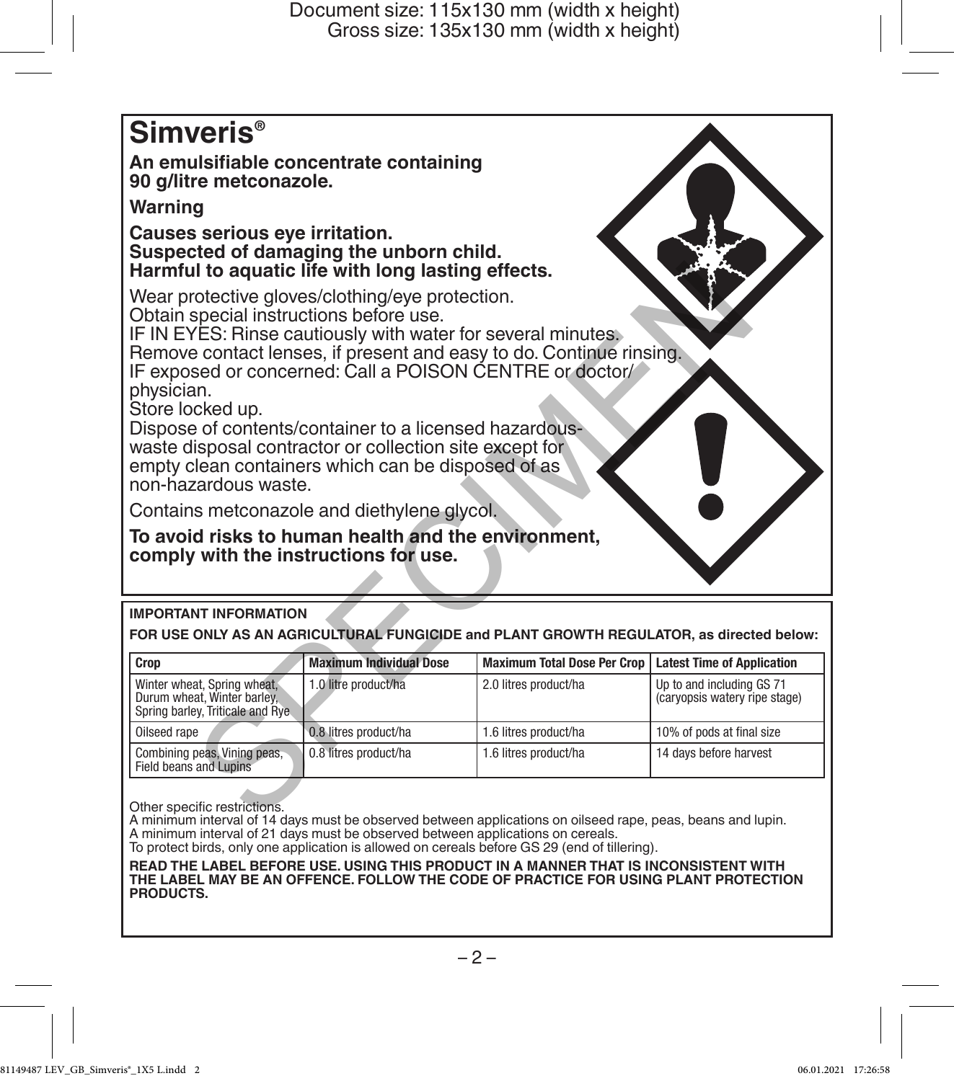# **Simveris®**

**An emulsifiable concentrate containing 90 g/litre metconazole.**

# **Warning**

**Causes serious eye irritation. Suspected of damaging the unborn child. Harmful to aquatic life with long lasting effects.**

# **IMPORTANT INFORMATION**

| Harmful to aquatic life with long lasting effects.                                                                                                                                                                                                                                                                                                                                                                                                          |                                |                                                                                                              |                                                            |  |  |
|-------------------------------------------------------------------------------------------------------------------------------------------------------------------------------------------------------------------------------------------------------------------------------------------------------------------------------------------------------------------------------------------------------------------------------------------------------------|--------------------------------|--------------------------------------------------------------------------------------------------------------|------------------------------------------------------------|--|--|
| Wear protective gloves/clothing/eye protection.<br>Obtain special instructions before use.<br>IF IN EYES: Rinse cautiously with water for several minutes.<br>IF exposed or concerned: Call a POISON CENTRE or doctor/<br>physician.<br>Store locked up.<br>Dispose of contents/container to a licensed hazardous-<br>waste disposal contractor or collection site except for<br>empty clean containers which can be disposed of as<br>non-hazardous waste. |                                | Remove contact lenses, if present and easy to do. Continue rinsing.                                          |                                                            |  |  |
| Contains metconazole and diethylene glycol.                                                                                                                                                                                                                                                                                                                                                                                                                 |                                |                                                                                                              |                                                            |  |  |
| To avoid risks to human health and the environment,<br>comply with the instructions for use.                                                                                                                                                                                                                                                                                                                                                                |                                |                                                                                                              |                                                            |  |  |
| <b>IMPORTANT INFORMATION</b>                                                                                                                                                                                                                                                                                                                                                                                                                                |                                |                                                                                                              |                                                            |  |  |
|                                                                                                                                                                                                                                                                                                                                                                                                                                                             |                                | FOR USE ONLY AS AN AGRICULTURAL FUNGICIDE and PLANT GROWTH REGULATOR, as directed below:                     |                                                            |  |  |
| Crop                                                                                                                                                                                                                                                                                                                                                                                                                                                        | <b>Maximum Individual Dose</b> | <b>Maximum Total Dose Per Crop</b>                                                                           | <b>Latest Time of Application</b>                          |  |  |
| Winter wheat, Spring wheat,<br>Durum wheat, Winter barley.<br>Spring barley, Triticale and Rye.                                                                                                                                                                                                                                                                                                                                                             | 1.0 litre product/ha           | 2.0 litres product/ha                                                                                        | Up to and including GS 71<br>(caryopsis watery ripe stage) |  |  |
| Oilseed rape                                                                                                                                                                                                                                                                                                                                                                                                                                                | 0.8 litres product/ha          | 1.6 litres product/ha                                                                                        | 10% of pods at final size                                  |  |  |
| Combining peas, Vining peas,<br>Field beans and Lupins                                                                                                                                                                                                                                                                                                                                                                                                      | 0.8 litres product/ha          | 1.6 litres product/ha                                                                                        | 14 days before harvest                                     |  |  |
| Other specific restrictions.                                                                                                                                                                                                                                                                                                                                                                                                                                |                                | A minimum interval of 1.4 days must be observed between applications on oilseed rane, peas, began and lupin. |                                                            |  |  |

A minimum interval of 14 days must be observed between applications on oilseed rape, peas, beans and lupin. A minimum interval of 21 days must be observed between applications on cereals.

To protect birds, only one application is allowed on cereals before GS 29 (end of tillering).

**READ THE LABEL BEFORE USE. USING THIS PRODUCT IN A MANNER THAT IS INCONSISTENT WITH THE LABEL MAY BE AN OFFENCE. FOLLOW THE CODE OF PRACTICE FOR USING PLANT PROTECTION PRODUCTS.**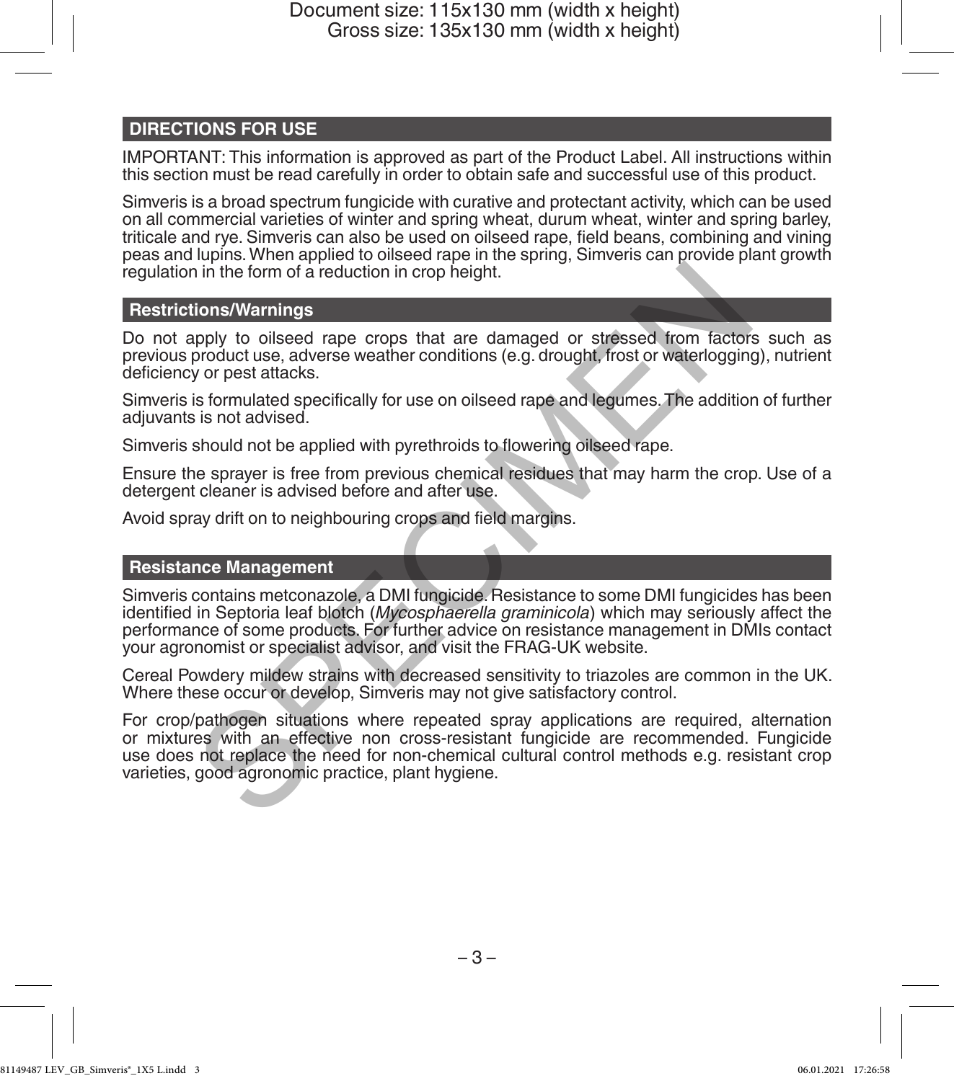# **DIRECTIONS FOR USE**

IMPORTANT: This information is approved as part of the Product Label. All instructions within this section must be read carefully in order to obtain safe and successful use of this product.

Simveris is a broad spectrum fungicide with curative and protectant activity, which can be used on all commercial varieties of winter and spring wheat, durum wheat, winter and spring barley, triticale and rye. Simveris can also be used on oilseed rape, field beans, combining and vining peas and lupins. When applied to oilseed rape in the spring, Simveris can provide plant growth regulation in the form of a reduction in crop height.

# **Restrictions/Warnings**

Do not apply to oilseed rape crops that are damaged or stressed from factors such as previous product use, adverse weather conditions (e.g. drought, frost or waterlogging), nutrient deficiency or pest attacks.

Simveris is formulated specifically for use on oilseed rape and legumes. The addition of further adjuvants is not advised.

Simveris should not be applied with pyrethroids to flowering oilseed rape.

Ensure the sprayer is free from previous chemical residues that may harm the crop. Use of a detergent cleaner is advised before and after use.

Avoid spray drift on to neighbouring crops and field margins.

### **Resistance Management**

Simveris contains metconazole, a DMI fungicide. Resistance to some DMI fungicides has been identified in Septoria leaf blotch (*Mycosphaerella graminicola*) which may seriously affect the performance of some products. For further advice on resistance management in DMIs contact your agronomist or specialist advisor, and visit the FRAG-UK website. i in the form of a reduction in crop height.<br>
ions/Warnings<br>
apply to oilseed rape crops that are damaged or stressed from factors<br>
product use, adverse weather conditions (e.g. drought, frost or waterlogging<br>
y or pest at

Cereal Powdery mildew strains with decreased sensitivity to triazoles are common in the UK. Where these occur or develop, Simveris may not give satisfactory control.

For crop/pathogen situations where repeated spray applications are required, alternation or mixtures with an effective non cross-resistant fungicide are recommended. Fungicide use does not replace the need for non-chemical cultural control methods e.g. resistant crop varieties, good agronomic practice, plant hygiene.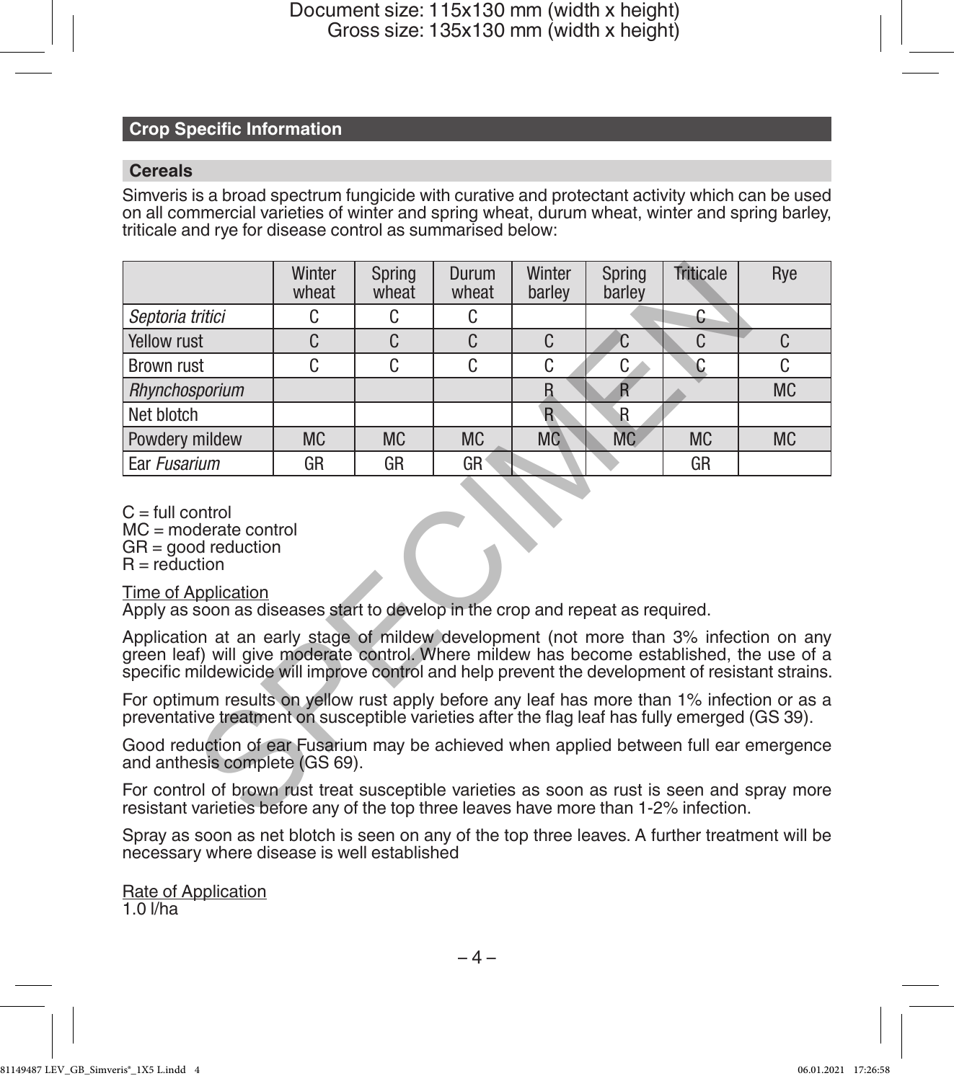# **Crop Specific Information**

### **Cereals**

Simveris is a broad spectrum fungicide with curative and protectant activity which can be used on all commercial varieties of winter and spring wheat, durum wheat, winter and spring barley, triticale and rye for disease control as summarised below:

|                                                                                                                                                                                                                                                                                         | Winter<br>wheat | Spring<br>wheat | Durum<br>wheat | Winter<br>barley | Spring<br>barley        | Triticale      | Rye          |
|-----------------------------------------------------------------------------------------------------------------------------------------------------------------------------------------------------------------------------------------------------------------------------------------|-----------------|-----------------|----------------|------------------|-------------------------|----------------|--------------|
| Septoria tritici                                                                                                                                                                                                                                                                        | C               | C.              | C.             |                  |                         | C.             |              |
| <b>Yellow rust</b>                                                                                                                                                                                                                                                                      | C               | C.              | $\mathcal{C}$  | $\mathsf{C}$     | C.                      | C.             | $\mathsf{C}$ |
| <b>Brown rust</b>                                                                                                                                                                                                                                                                       | C               | C               | C              | C                | C.                      | C              | C            |
| Rhynchosporium                                                                                                                                                                                                                                                                          |                 |                 |                | $\mathsf{R}$     | $\overline{\mathsf{R}}$ |                | <b>MC</b>    |
| Net blotch                                                                                                                                                                                                                                                                              |                 |                 |                | R                | <b>R</b>                |                |              |
| Powdery mildew                                                                                                                                                                                                                                                                          | <b>MC</b>       | <b>MC</b>       | MC.            | <b>MC</b>        | <b>MC</b>               | M <sub>C</sub> | <b>MC</b>    |
| <b>Ear Fusarium</b>                                                                                                                                                                                                                                                                     | GR              | GR              | GR             |                  |                         | GR             |              |
| $C = full control$<br>$MC = moderate control$<br>$GR =$ good reduction<br>$R = reduction$<br><b>Time of Application</b><br>Apply as soon as diseases start to develop in the crop and repeat as required.                                                                               |                 |                 |                |                  |                         |                |              |
| Application at an early stage of mildew development (not more than 3% infection on any<br>green leaf) will give moderate control. Where mildew has become established, the use of a<br>specific mildewicide will improve control and help prevent the development of resistant strains. |                 |                 |                |                  |                         |                |              |
| For optimum results on yellow rust apply before any leaf has more than 1% infection or as a<br>preventative treatment on susceptible varieties after the flag leaf has fully emerged (GS 39).                                                                                           |                 |                 |                |                  |                         |                |              |
| Good reduction of ear Fusarium may be achieved when applied between full ear emergence<br>and anthesis complete (GS 69).                                                                                                                                                                |                 |                 |                |                  |                         |                |              |
| For control of brown rust treat susceptible varieties as soon as rust is seen and spray more<br>resistant varieties before any of the top three leaves have more than 1-2% infection.                                                                                                   |                 |                 |                |                  |                         |                |              |

Spray as soon as net blotch is seen on any of the top three leaves. A further treatment will be necessary where disease is well established

Rate of Application 1.0 l/ha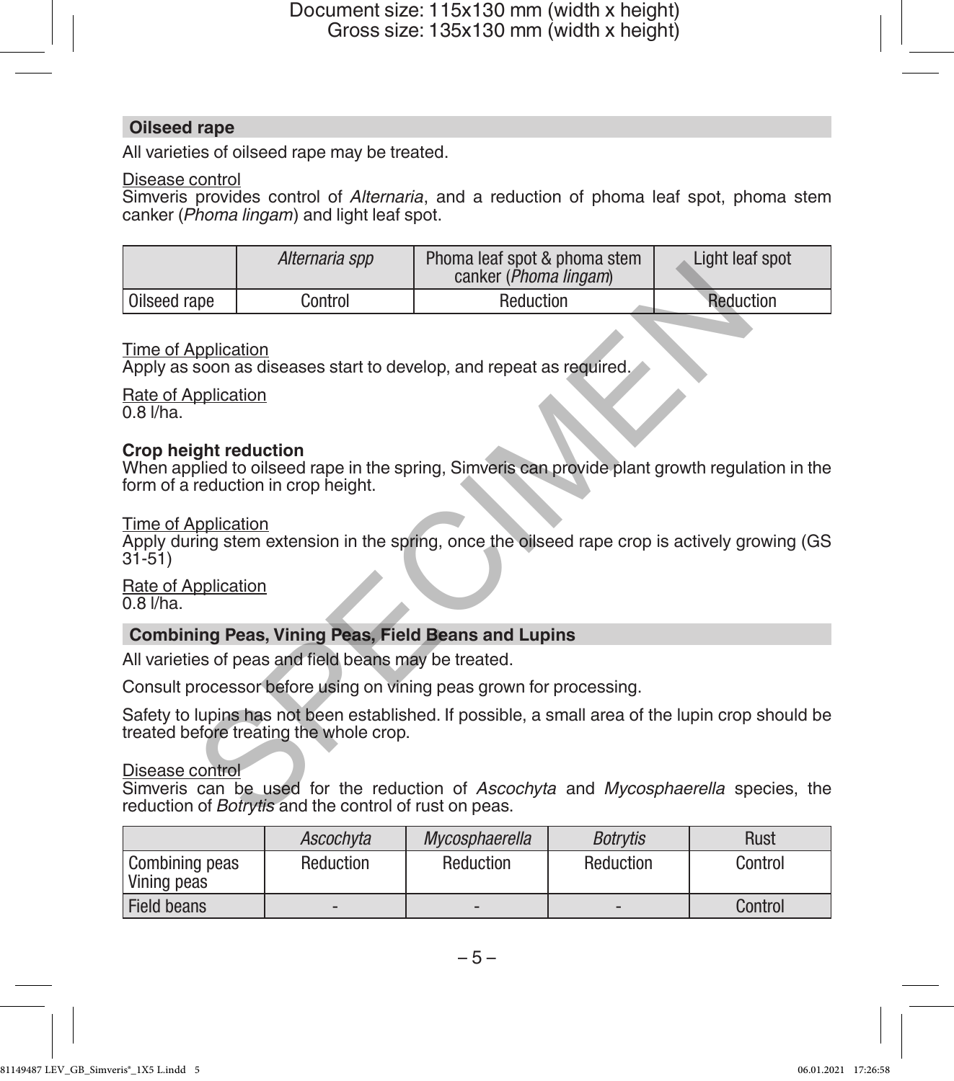### **Oilseed rape**

All varieties of oilseed rape may be treated.

# Disease control

Simveris provides control of *Alternaria*, and a reduction of phoma leaf spot, phoma stem canker (*Phoma lingam*) and light leaf spot.

|                                                                                                                                             | Alternaria spp                                                                             | Phoma leaf spot & phoma stem<br>canker ( <i>Phoma lingam</i> )                                  | Light leaf spot |  |  |  |  |  |
|---------------------------------------------------------------------------------------------------------------------------------------------|--------------------------------------------------------------------------------------------|-------------------------------------------------------------------------------------------------|-----------------|--|--|--|--|--|
| Oilseed rape                                                                                                                                | Control                                                                                    | Reduction                                                                                       | Reduction       |  |  |  |  |  |
|                                                                                                                                             | Time of Application<br>Apply as soon as diseases start to develop, and repeat as required. |                                                                                                 |                 |  |  |  |  |  |
| Rate of Application<br>$0.8$ $I/ha$ .                                                                                                       |                                                                                            |                                                                                                 |                 |  |  |  |  |  |
| <b>Crop height reduction</b>                                                                                                                | form of a reduction in crop height.                                                        | When applied to oilseed rape in the spring, Simveris can provide plant growth regulation in the |                 |  |  |  |  |  |
| Time of Application<br>Apply during stem extension in the spring, once the oilseed rape crop is actively growing (GS<br>$31 - 51$           |                                                                                            |                                                                                                 |                 |  |  |  |  |  |
| Rate of Application<br>$0.8$ $I/ha$ .                                                                                                       |                                                                                            |                                                                                                 |                 |  |  |  |  |  |
| <b>Combining Peas, Vining Peas, Field Beans and Lupins</b>                                                                                  |                                                                                            |                                                                                                 |                 |  |  |  |  |  |
|                                                                                                                                             | All varieties of peas and field beans may be treated.                                      |                                                                                                 |                 |  |  |  |  |  |
| Consult processor before using on vining peas grown for processing.                                                                         |                                                                                            |                                                                                                 |                 |  |  |  |  |  |
| Safety to lupins has not been established. If possible, a small area of the lupin crop should be<br>treated before treating the whole crop. |                                                                                            |                                                                                                 |                 |  |  |  |  |  |
| Disease control                                                                                                                             | reduction of Botrytis and the control of rust on peas.                                     | Simveris can be used for the reduction of Ascochyta and Mycosphaerella species, the             |                 |  |  |  |  |  |

# Time of Application

# **Crop height reduction**

### Time of Application

### Rate of Application  $0.8$   $I/ha$ .

# **Combining Peas, Vining Peas, Field Beans and Lupins**

|                               | Ascochvta | Mycosphaerella | <b>Botrytis</b> | Rust    |
|-------------------------------|-----------|----------------|-----------------|---------|
| Combining peas<br>Vining peas | Reduction | Reduction      | Reduction       | Control |
| Field beans                   | -         | -              |                 | Control |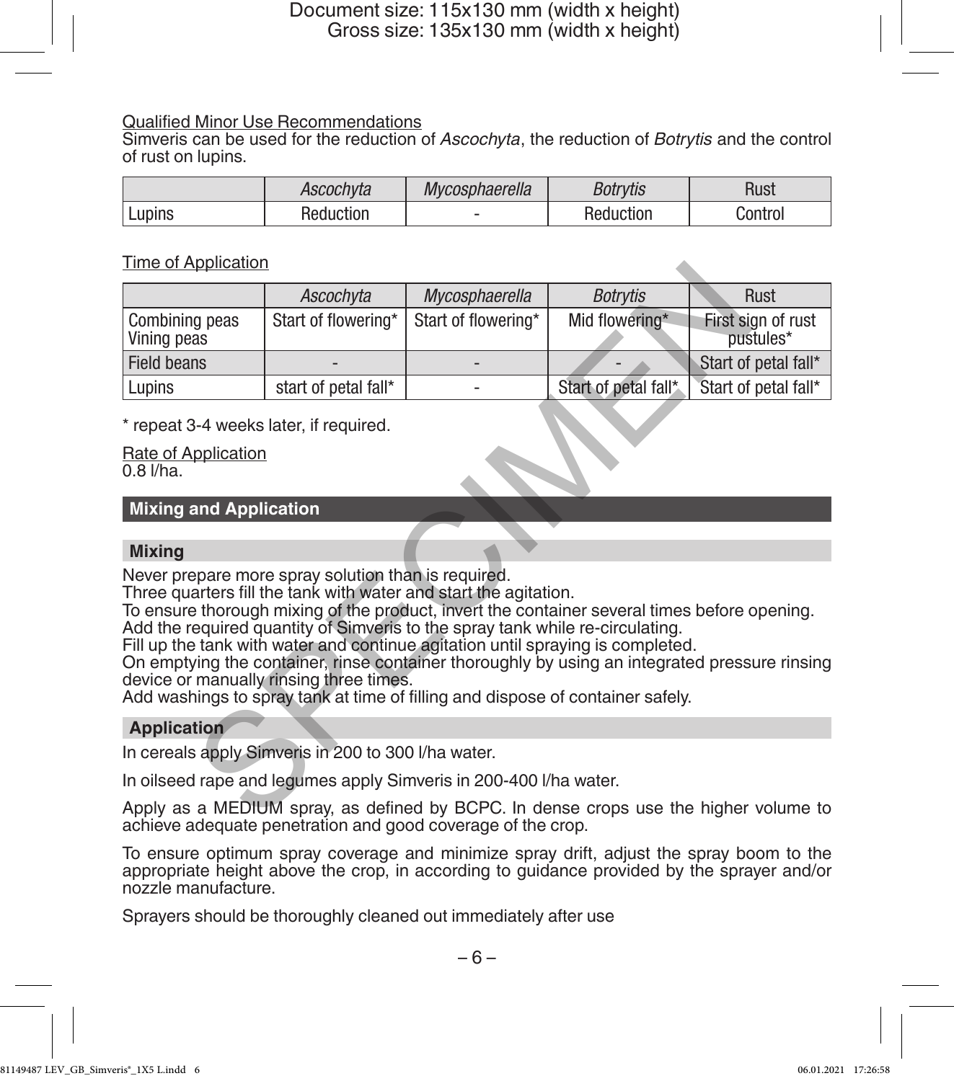# Qualified Minor Use Recommendations

Simveris can be used for the reduction of *Ascochyta*, the reduction of *Botrytis* and the control of rust on lupins.

|          | Ascochvta | Mycosphaerella | <b>Botrvtis</b> | Rusi    |
|----------|-----------|----------------|-----------------|---------|
| ' Lupins | Reduction |                | Reduction       | Control |

# Time of Application

| <u>TIME OF Application</u>                                                                                                                                                                                                                                                                                                                                                                                                                                                                                                                                                                                                |                                                               |                     |                      |                                 |  |  |  |
|---------------------------------------------------------------------------------------------------------------------------------------------------------------------------------------------------------------------------------------------------------------------------------------------------------------------------------------------------------------------------------------------------------------------------------------------------------------------------------------------------------------------------------------------------------------------------------------------------------------------------|---------------------------------------------------------------|---------------------|----------------------|---------------------------------|--|--|--|
|                                                                                                                                                                                                                                                                                                                                                                                                                                                                                                                                                                                                                           | Ascochyta                                                     | Mycosphaerella      | <b>Botrytis</b>      | Rust                            |  |  |  |
| Combining peas<br>Vining peas                                                                                                                                                                                                                                                                                                                                                                                                                                                                                                                                                                                             | Start of flowering*                                           | Start of flowering* | Mid flowering*       | First sign of rust<br>pustules* |  |  |  |
| <b>Field beans</b>                                                                                                                                                                                                                                                                                                                                                                                                                                                                                                                                                                                                        |                                                               |                     |                      | Start of petal fall*            |  |  |  |
| Lupins                                                                                                                                                                                                                                                                                                                                                                                                                                                                                                                                                                                                                    | start of petal fall*                                          |                     | Start of petal fall* | Start of petal fall*            |  |  |  |
| $0.8$ $I/ha$ .                                                                                                                                                                                                                                                                                                                                                                                                                                                                                                                                                                                                            | * repeat 3-4 weeks later, if required.<br>Rate of Application |                     |                      |                                 |  |  |  |
| <b>Mixing and Application</b>                                                                                                                                                                                                                                                                                                                                                                                                                                                                                                                                                                                             |                                                               |                     |                      |                                 |  |  |  |
|                                                                                                                                                                                                                                                                                                                                                                                                                                                                                                                                                                                                                           |                                                               |                     |                      |                                 |  |  |  |
| <b>Mixing</b>                                                                                                                                                                                                                                                                                                                                                                                                                                                                                                                                                                                                             |                                                               |                     |                      |                                 |  |  |  |
| Never prepare more spray solution than is required.<br>Three quarters fill the tank with water and start the agitation.<br>To ensure thorough mixing of the product, invert the container several times before opening.<br>Add the required quantity of Simveris to the spray tank while re-circulating.<br>Fill up the tank with water and continue agitation until spraying is completed.<br>On emptying the container, rinse container thoroughly by using an integrated pressure rinsing<br>device or manually rinsing three times.<br>Add washings to spray tank at time of filling and dispose of container safely. |                                                               |                     |                      |                                 |  |  |  |
| <b>Application</b>                                                                                                                                                                                                                                                                                                                                                                                                                                                                                                                                                                                                        |                                                               |                     |                      |                                 |  |  |  |
| In cereals apply Simveris in 200 to 300 I/ha water.                                                                                                                                                                                                                                                                                                                                                                                                                                                                                                                                                                       |                                                               |                     |                      |                                 |  |  |  |
| In oilseed rape and legumes apply Simveris in 200-400 I/ha water.                                                                                                                                                                                                                                                                                                                                                                                                                                                                                                                                                         |                                                               |                     |                      |                                 |  |  |  |
| Apply as a MEDIUM spray, as defined by BCPC. In dense crops use the higher volume to                                                                                                                                                                                                                                                                                                                                                                                                                                                                                                                                      |                                                               |                     |                      |                                 |  |  |  |

# **Mixing and Application**

### **Mixing**

# **Application**

Apply as a MEDIUM spray, as defined by BCPC. In dense crops use the higher volume to achieve adequate penetration and good coverage of the crop.

To ensure optimum spray coverage and minimize spray drift, adjust the spray boom to the appropriate height above the crop, in according to guidance provided by the sprayer and/or nozzle manufacture.

Sprayers should be thoroughly cleaned out immediately after use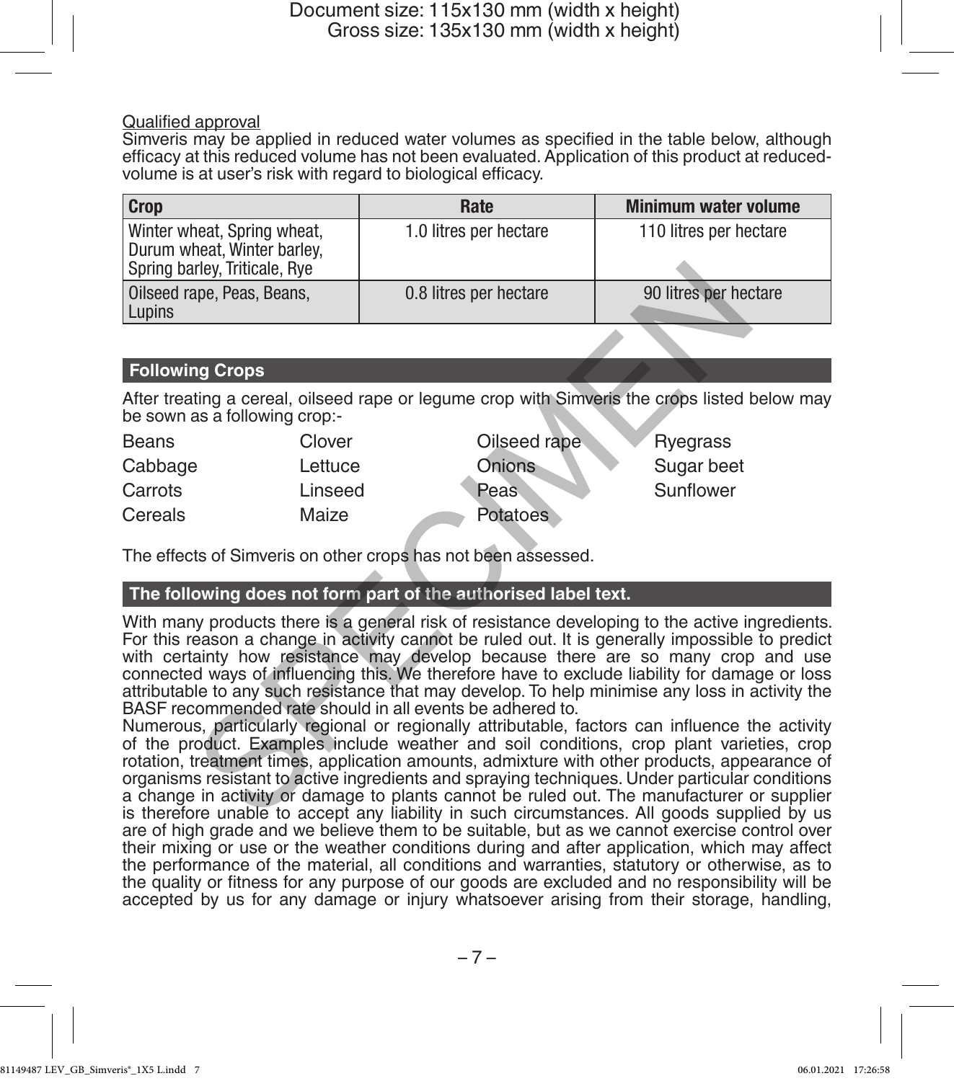### Qualified approval

Simveris may be applied in reduced water volumes as specified in the table below, although efficacy at this reduced volume has not been evaluated. Application of this product at reducedvolume is at user's risk with regard to biological efficacy.

| <b>Crop</b>                                                                                 | Rate                   | <b>Minimum water volume</b> |
|---------------------------------------------------------------------------------------------|------------------------|-----------------------------|
| Winter wheat, Spring wheat,<br>Durum wheat, Winter barley,<br>Spring barley, Triticale, Rye | 1.0 litres per hectare | 110 litres per hectare      |
| Oilseed rape, Peas, Beans,<br>Lupins                                                        | 0.8 litres per hectare | 90 litres per hectare       |

# **Following Crops**

After treating a cereal, oilseed rape or legume crop with Simveris the crops listed below may be sown as a following crop:-

| Beans   | Clover  | Oilseed rape    | Ryegrass   |
|---------|---------|-----------------|------------|
| Cabbage | Lettuce | Onions          | Sugar beet |
| Carrots | Linseed | <b>Peas</b>     | Sunflower  |
| Cereals | Maize   | <b>Potatoes</b> |            |

The effects of Simveris on other crops has not been assessed.

# **The following does not form part of the authorised label text.**

With many products there is a general risk of resistance developing to the active ingredients. For this reason a change in activity cannot be ruled out. It is generally impossible to predict with certainty how resistance may develop because there are so many crop and use connected ways of influencing this. We therefore have to exclude liability for damage or loss attributable to any such resistance that may develop. To help minimise any loss in activity the BASF recommended rate should in all events be adhered to. The season and the internal of the internal of the search of the season and the internal of the computer of the computer and the season of the search of the season a change in activity cannot be the season and the computer

Numerous, particularly regional or regionally attributable, factors can influence the activity of the product. Examples include weather and soil conditions, crop plant varieties, crop rotation, treatment times, application amounts, admixture with other products, appearance of organisms resistant to active ingredients and spraying techniques. Under particular conditions a change in activity or damage to plants cannot be ruled out. The manufacturer or supplier is therefore unable to accept any liability in such circumstances. All goods supplied by us are of high grade and we believe them to be suitable, but as we cannot exercise control over their mixing or use or the weather conditions during and after application, which may affect the performance of the material, all conditions and warranties, statutory or otherwise, as to the quality or fitness for any purpose of our goods are excluded and no responsibility will be accepted by us for any damage or injury whatsoever arising from their storage, handling,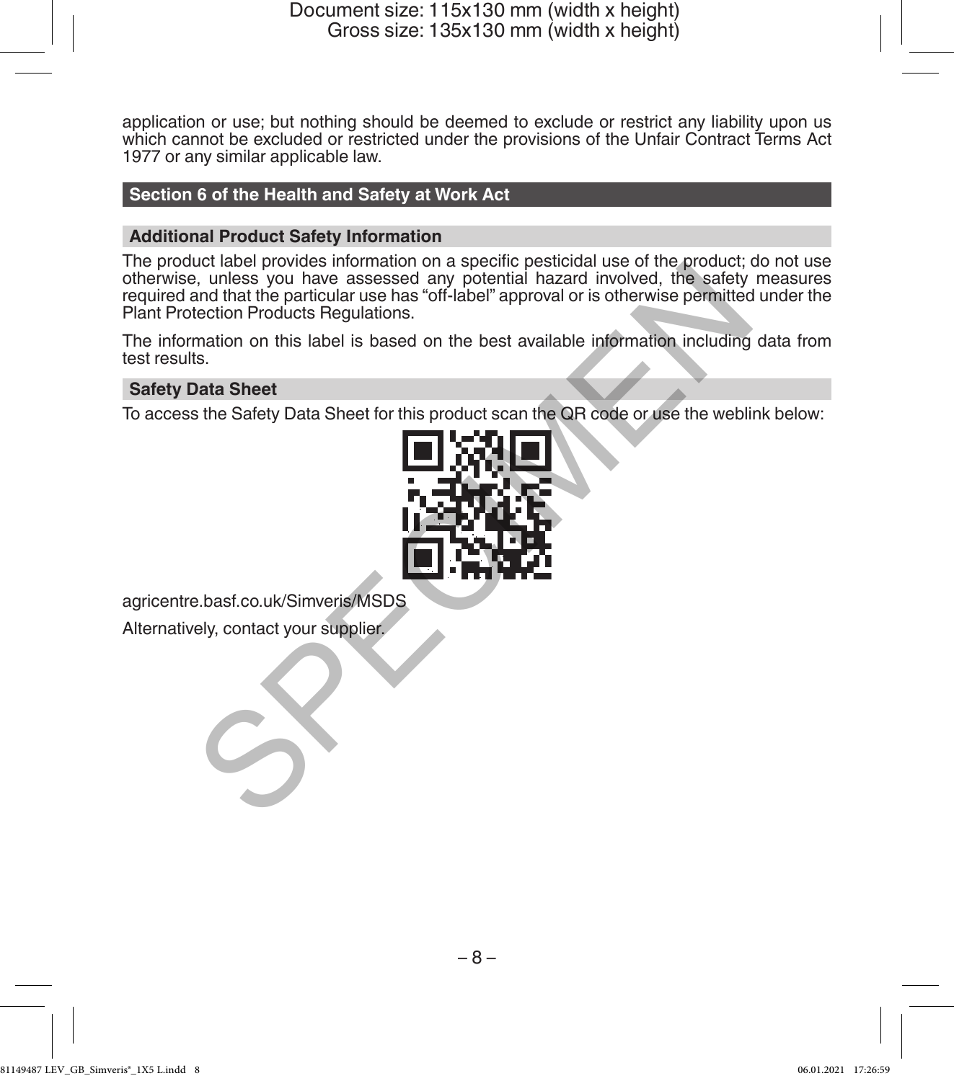application or use; but nothing should be deemed to exclude or restrict any liability upon us which cannot be excluded or restricted under the provisions of the Unfair Contract Terms Act 1977 or any similar applicable law.

# **Section 6 of the Health and Safety at Work Act**

# **Additional Product Safety Information**

The product label provides information on a specific pesticidal use of the product; do not use otherwise, unless you have assessed any potential hazard involved, the safety measures required and that the particular use has "off-label" approval or is otherwise permitted under the Plant Protection Products Regulations. the provides information of a specifical hazard involved, the safety<br>specifical hazard involved, the safety<br>and that the particular use has "off-label" approval or is otherwise permitted<br>and that the contexts Regulations.<br>

The information on this label is based on the best available information including data from test results.

### **Safety Data Sheet**

To access the Safety Data Sheet for this product scan the QR code or use the weblink below:



agricentre.basf.co.uk/Simveris/MSDS

Alternatively, contact your supplier.